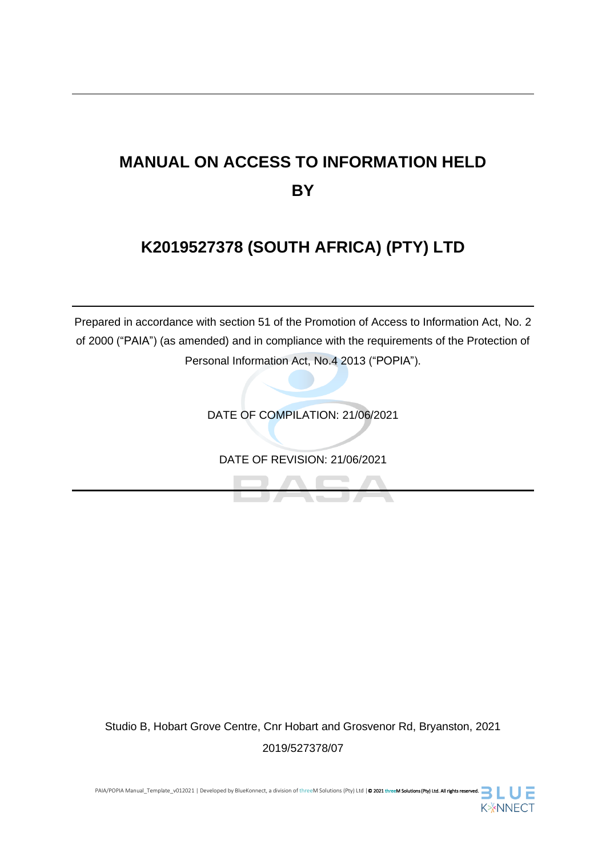# **MANUAL ON ACCESS TO INFORMATION HELD BY**

# **K2019527378 (SOUTH AFRICA) (PTY) LTD**

Prepared in accordance with section 51 of the Promotion of Access to Information Act, No. 2 of 2000 ("PAIA") (as amended) and in compliance with the requirements of the Protection of Personal Information Act, No.4 2013 ("POPIA").

DATE OF COMPILATION: 21/06/2021

DATE OF REVISION: 21/06/2021

Studio B, Hobart Grove Centre, Cnr Hobart and Grosvenor Rd, Bryanston, 2021 2019/527378/07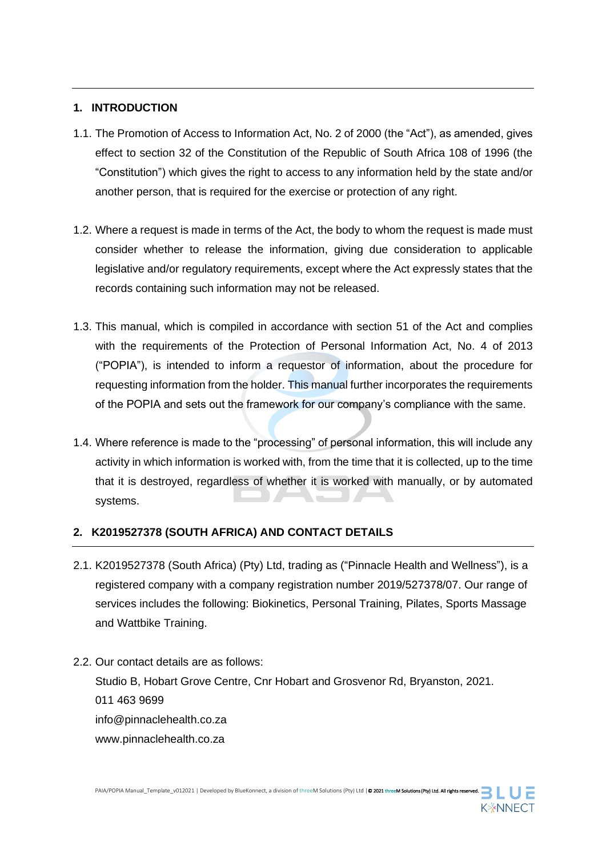#### **1. INTRODUCTION**

- 1.1. The Promotion of Access to Information Act, No. 2 of 2000 (the "Act"), as amended, gives effect to section 32 of the Constitution of the Republic of South Africa 108 of 1996 (the "Constitution") which gives the right to access to any information held by the state and/or another person, that is required for the exercise or protection of any right.
- 1.2. Where a request is made in terms of the Act, the body to whom the request is made must consider whether to release the information, giving due consideration to applicable legislative and/or regulatory requirements, except where the Act expressly states that the records containing such information may not be released.
- 1.3. This manual, which is compiled in accordance with section 51 of the Act and complies with the requirements of the Protection of Personal Information Act, No. 4 of 2013 ("POPIA"), is intended to inform a requestor of information, about the procedure for requesting information from the holder. This manual further incorporates the requirements of the POPIA and sets out the framework for our company's compliance with the same.
- 1.4. Where reference is made to the "processing" of personal information, this will include any activity in which information is worked with, from the time that it is collected, up to the time that it is destroyed, regardless of whether it is worked with manually, or by automated systems.

### **2. K2019527378 (SOUTH AFRICA) AND CONTACT DETAILS**

- 2.1. K2019527378 (South Africa) (Pty) Ltd, trading as ("Pinnacle Health and Wellness"), is a registered company with a company registration number 2019/527378/07. Our range of services includes the following: Biokinetics, Personal Training, Pilates, Sports Massage and Wattbike Training.
- 2.2. Our contact details are as follows:

Studio B, Hobart Grove Centre, Cnr Hobart and Grosvenor Rd, Bryanston, 2021. 011 463 9699 info@pinnaclehealth.co.za www.pinnaclehealth.co.za

**K**\*NNECT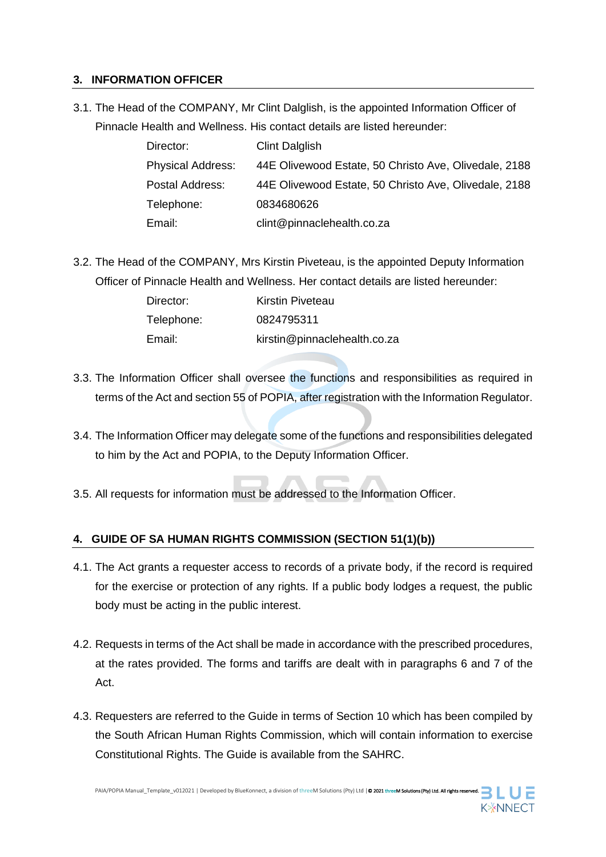#### **3. INFORMATION OFFICER**

3.1. The Head of the COMPANY, Mr Clint Dalglish, is the appointed Information Officer of Pinnacle Health and Wellness. His contact details are listed hereunder:

| Director:                | <b>Clint Dalglish</b>                                 |
|--------------------------|-------------------------------------------------------|
| <b>Physical Address:</b> | 44E Olivewood Estate, 50 Christo Ave, Olivedale, 2188 |
| Postal Address:          | 44E Olivewood Estate, 50 Christo Ave, Olivedale, 2188 |
| Telephone:               | 0834680626                                            |
| Email:                   | clint@pinnaclehealth.co.za                            |

3.2. The Head of the COMPANY, Mrs Kirstin Piveteau, is the appointed Deputy Information Officer of Pinnacle Health and Wellness. Her contact details are listed hereunder:

| Director:  | Kirstin Piveteau             |
|------------|------------------------------|
| Telephone: | 0824795311                   |
| Email:     | kirstin@pinnaclehealth.co.za |

- 3.3. The Information Officer shall oversee the functions and responsibilities as required in terms of the Act and section 55 of POPIA, after registration with the Information Regulator.
- 3.4. The Information Officer may delegate some of the functions and responsibilities delegated to him by the Act and POPIA, to the Deputy Information Officer.
- 3.5. All requests for information must be addressed to the Information Officer.

#### **4. GUIDE OF SA HUMAN RIGHTS COMMISSION (SECTION 51(1)(b))**

- 4.1. The Act grants a requester access to records of a private body, if the record is required for the exercise or protection of any rights. If a public body lodges a request, the public body must be acting in the public interest.
- 4.2. Requests in terms of the Act shall be made in accordance with the prescribed procedures, at the rates provided. The forms and tariffs are dealt with in paragraphs 6 and 7 of the Act.
- 4.3. Requesters are referred to the Guide in terms of Section 10 which has been compiled by the South African Human Rights Commission, which will contain information to exercise Constitutional Rights. The Guide is available from the SAHRC.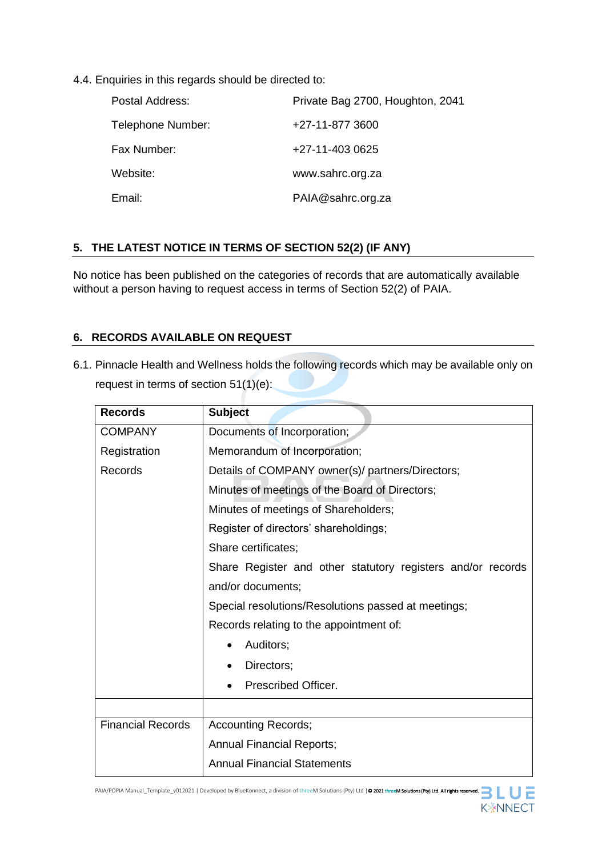4.4. Enquiries in this regards should be directed to:

| Postal Address:   | Private Bag 2700, Houghton, 2041 |
|-------------------|----------------------------------|
| Telephone Number: | +27-11-877 3600                  |
| Fax Number:       | +27-11-403 0625                  |
| Website:          | www.sahrc.org.za                 |
| Email:            | PAIA@sahrc.org.za                |

#### **5. THE LATEST NOTICE IN TERMS OF SECTION 52(2) (IF ANY)**

No notice has been published on the categories of records that are automatically available without a person having to request access in terms of Section 52(2) of PAIA.

#### **6. RECORDS AVAILABLE ON REQUEST**

6.1. Pinnacle Health and Wellness holds the following records which may be available only on request in terms of section 51(1)(e):

| <b>Records</b>           | <b>Subject</b>                                              |  |  |
|--------------------------|-------------------------------------------------------------|--|--|
| <b>COMPANY</b>           | Documents of Incorporation;                                 |  |  |
| Registration             | Memorandum of Incorporation;                                |  |  |
| Records                  | Details of COMPANY owner(s)/ partners/Directors;            |  |  |
|                          | Minutes of meetings of the Board of Directors;              |  |  |
|                          | Minutes of meetings of Shareholders;                        |  |  |
|                          | Register of directors' shareholdings;                       |  |  |
|                          | Share certificates;                                         |  |  |
|                          | Share Register and other statutory registers and/or records |  |  |
|                          | and/or documents;                                           |  |  |
|                          | Special resolutions/Resolutions passed at meetings;         |  |  |
|                          | Records relating to the appointment of:                     |  |  |
|                          | Auditors;                                                   |  |  |
|                          | Directors;                                                  |  |  |
|                          | Prescribed Officer.                                         |  |  |
|                          |                                                             |  |  |
| <b>Financial Records</b> | <b>Accounting Records;</b>                                  |  |  |
|                          | <b>Annual Financial Reports;</b>                            |  |  |
|                          | <b>Annual Financial Statements</b>                          |  |  |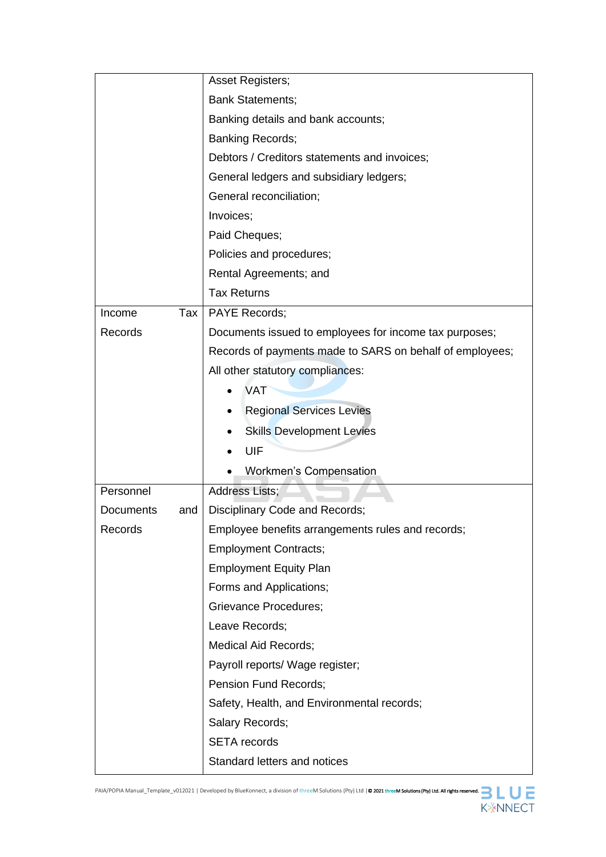|                  |     | <b>Asset Registers;</b>                                  |  |
|------------------|-----|----------------------------------------------------------|--|
|                  |     | <b>Bank Statements;</b>                                  |  |
|                  |     | Banking details and bank accounts;                       |  |
|                  |     | <b>Banking Records;</b>                                  |  |
|                  |     | Debtors / Creditors statements and invoices;             |  |
|                  |     | General ledgers and subsidiary ledgers;                  |  |
|                  |     | General reconciliation;                                  |  |
|                  |     | Invoices;                                                |  |
|                  |     | Paid Cheques;                                            |  |
|                  |     | Policies and procedures;                                 |  |
|                  |     | Rental Agreements; and                                   |  |
|                  |     | <b>Tax Returns</b>                                       |  |
| Income           | Tax | <b>PAYE Records;</b>                                     |  |
| Records          |     | Documents issued to employees for income tax purposes;   |  |
|                  |     | Records of payments made to SARS on behalf of employees; |  |
|                  |     | All other statutory compliances:                         |  |
|                  |     | <b>VAT</b>                                               |  |
|                  |     | <b>Regional Services Levies</b>                          |  |
|                  |     | <b>Skills Development Levies</b>                         |  |
|                  |     | UIF                                                      |  |
|                  |     | <b>Workmen's Compensation</b>                            |  |
| Personnel        |     | <b>Address Lists;</b>                                    |  |
| <b>Documents</b> | and | Disciplinary Code and Records;                           |  |
| Records          |     | Employee benefits arrangements rules and records;        |  |
|                  |     | <b>Employment Contracts;</b>                             |  |
|                  |     | <b>Employment Equity Plan</b>                            |  |
|                  |     | Forms and Applications;                                  |  |
|                  |     | <b>Grievance Procedures;</b>                             |  |
|                  |     | Leave Records;                                           |  |
|                  |     | <b>Medical Aid Records;</b>                              |  |
|                  |     | Payroll reports/ Wage register;                          |  |
|                  |     | Pension Fund Records;                                    |  |
|                  |     | Safety, Health, and Environmental records;               |  |
|                  |     | Salary Records;                                          |  |
|                  |     | <b>SETA</b> records                                      |  |
|                  |     | Standard letters and notices                             |  |

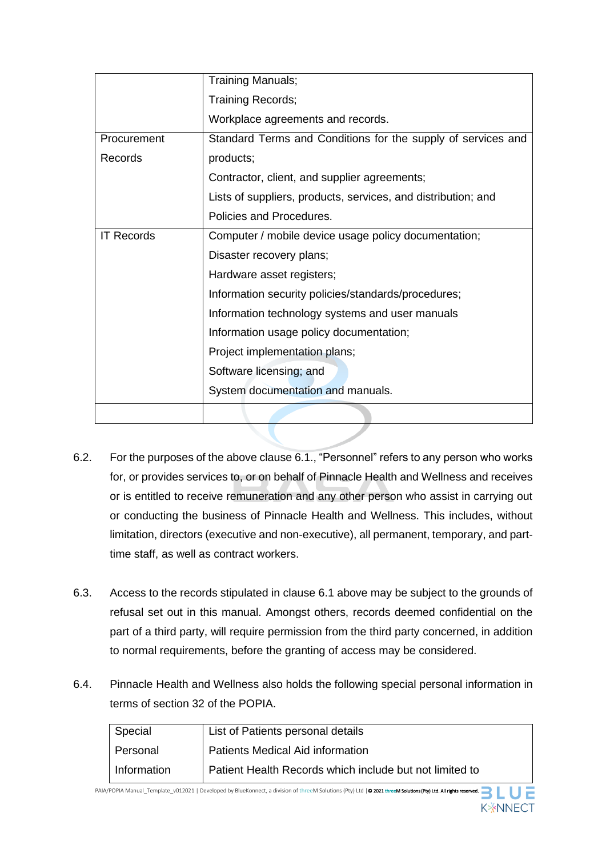|                   | <b>Training Manuals;</b>                                      |  |  |
|-------------------|---------------------------------------------------------------|--|--|
|                   | Training Records;                                             |  |  |
|                   | Workplace agreements and records.                             |  |  |
| Procurement       | Standard Terms and Conditions for the supply of services and  |  |  |
| Records           | products;                                                     |  |  |
|                   | Contractor, client, and supplier agreements;                  |  |  |
|                   | Lists of suppliers, products, services, and distribution; and |  |  |
|                   | Policies and Procedures.                                      |  |  |
| <b>IT Records</b> | Computer / mobile device usage policy documentation;          |  |  |
|                   | Disaster recovery plans;                                      |  |  |
|                   | Hardware asset registers;                                     |  |  |
|                   | Information security policies/standards/procedures;           |  |  |
|                   | Information technology systems and user manuals               |  |  |
|                   | Information usage policy documentation;                       |  |  |
|                   | Project implementation plans;                                 |  |  |
|                   | Software licensing; and                                       |  |  |
|                   | System documentation and manuals.                             |  |  |
|                   |                                                               |  |  |

- 6.2. For the purposes of the above clause 6.1., "Personnel" refers to any person who works for, or provides services to, or on behalf of Pinnacle Health and Wellness and receives or is entitled to receive remuneration and any other person who assist in carrying out or conducting the business of Pinnacle Health and Wellness. This includes, without limitation, directors (executive and non-executive), all permanent, temporary, and parttime staff, as well as contract workers.
- 6.3. Access to the records stipulated in clause 6.1 above may be subject to the grounds of refusal set out in this manual. Amongst others, records deemed confidential on the part of a third party, will require permission from the third party concerned, in addition to normal requirements, before the granting of access may be considered.
- 6.4. Pinnacle Health and Wellness also holds the following special personal information in terms of section 32 of the POPIA.

| Special       | List of Patients personal details                       |
|---------------|---------------------------------------------------------|
| Personal      | Patients Medical Aid information                        |
| l Information | Patient Health Records which include but not limited to |

PAIA/POPIA Manual\_Template\_v012021 | Developed by BlueKonnect, a division of threeM Solutions (Pty) Ltd | @ 2021 threeM Solutions (Pty) Ltd. All rights res **K**\*NNECT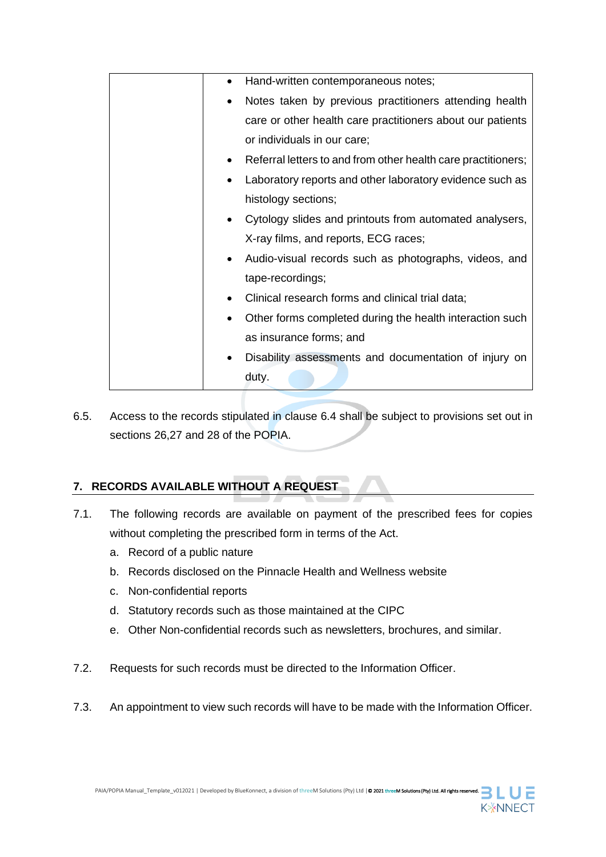| Hand-written contemporaneous notes;<br>$\bullet$                           |
|----------------------------------------------------------------------------|
| Notes taken by previous practitioners attending health                     |
| care or other health care practitioners about our patients                 |
| or individuals in our care;                                                |
| Referral letters to and from other health care practitioners;<br>$\bullet$ |
| Laboratory reports and other laboratory evidence such as                   |
| histology sections;                                                        |
| Cytology slides and printouts from automated analysers,<br>٠               |
| X-ray films, and reports, ECG races;                                       |
| Audio-visual records such as photographs, videos, and                      |
| tape-recordings;                                                           |
| Clinical research forms and clinical trial data;                           |
| Other forms completed during the health interaction such                   |
| as insurance forms; and                                                    |
| Disability assessments and documentation of injury on                      |
| duty.                                                                      |
|                                                                            |

6.5. Access to the records stipulated in clause 6.4 shall be subject to provisions set out in sections 26,27 and 28 of the POPIA.

## **7. RECORDS AVAILABLE WITHOUT A REQUEST**

- 7.1. The following records are available on payment of the prescribed fees for copies without completing the prescribed form in terms of the Act.
	- a. Record of a public nature
	- b. Records disclosed on the Pinnacle Health and Wellness website
	- c. Non-confidential reports
	- d. Statutory records such as those maintained at the CIPC
	- e. Other Non-confidential records such as newsletters, brochures, and similar.
- 7.2. Requests for such records must be directed to the Information Officer.
- 7.3. An appointment to view such records will have to be made with the Information Officer.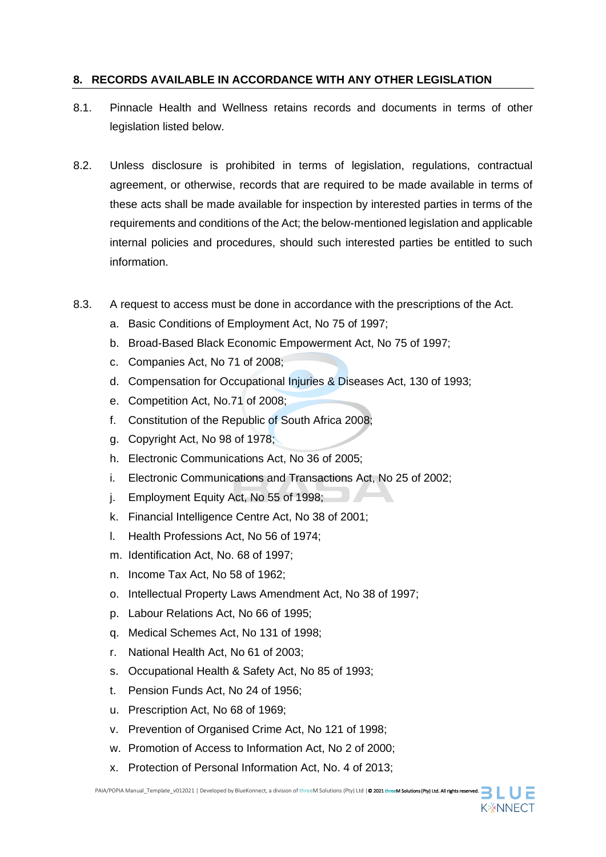#### **8. RECORDS AVAILABLE IN ACCORDANCE WITH ANY OTHER LEGISLATION**

- 8.1. Pinnacle Health and Wellness retains records and documents in terms of other legislation listed below.
- 8.2. Unless disclosure is prohibited in terms of legislation, regulations, contractual agreement, or otherwise, records that are required to be made available in terms of these acts shall be made available for inspection by interested parties in terms of the requirements and conditions of the Act; the below-mentioned legislation and applicable internal policies and procedures, should such interested parties be entitled to such information.
- 8.3. A request to access must be done in accordance with the prescriptions of the Act.
	- a. Basic Conditions of Employment Act, No 75 of 1997;
	- b. Broad-Based Black Economic Empowerment Act, No 75 of 1997;
	- c. Companies Act, No 71 of 2008;
	- d. Compensation for Occupational Injuries & Diseases Act, 130 of 1993;
	- e. Competition Act, No.71 of 2008;
	- f. Constitution of the Republic of South Africa 2008;
	- g. Copyright Act, No 98 of 1978;
	- h. Electronic Communications Act, No 36 of 2005;
	- i. Electronic Communications and Transactions Act, No 25 of 2002;
	- j. Employment Equity Act, No 55 of 1998;
	- k. Financial Intelligence Centre Act, No 38 of 2001;
	- l. Health Professions Act, No 56 of 1974;
	- m. Identification Act, No. 68 of 1997;
	- n. Income Tax Act, No 58 of 1962;
	- o. Intellectual Property Laws Amendment Act, No 38 of 1997;
	- p. Labour Relations Act, No 66 of 1995;
	- q. Medical Schemes Act, No 131 of 1998;
	- r. National Health Act, No 61 of 2003;
	- s. Occupational Health & Safety Act, No 85 of 1993;
	- t. Pension Funds Act, No 24 of 1956;
	- u. Prescription Act, No 68 of 1969;
	- v. Prevention of Organised Crime Act, No 121 of 1998;
	- w. Promotion of Access to Information Act, No 2 of 2000;
	- x. Protection of Personal Information Act, No. 4 of 2013;

PAIA/POPIA Manual Template\_v012021 | Developed by BlueKonnect, a division of threeM Solutions (Pty) Ltd | © 2021 threeM Solutions (Pty) Ltd. All rights res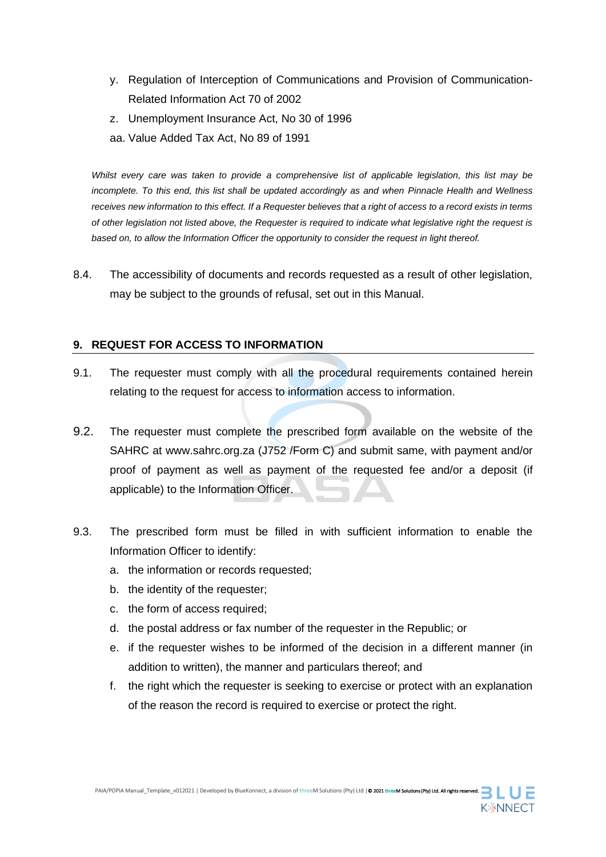- y. Regulation of Interception of Communications and Provision of Communication-Related Information Act 70 of 2002
- z. Unemployment Insurance Act, No 30 of 1996
- aa. Value Added Tax Act, No 89 of 1991

*Whilst every care was taken to provide a comprehensive list of applicable legislation, this list may be incomplete. To this end, this list shall be updated accordingly as and when Pinnacle Health and Wellness receives new information to this effect. If a Requester believes that a right of access to a record exists in terms of other legislation not listed above, the Requester is required to indicate what legislative right the request is based on, to allow the Information Officer the opportunity to consider the request in light thereof.*

8.4. The accessibility of documents and records requested as a result of other legislation, may be subject to the grounds of refusal, set out in this Manual.

#### **9. REQUEST FOR ACCESS TO INFORMATION**

- 9.1. The requester must comply with all the procedural requirements contained herein relating to the request for access to information access to information.
- 9.2. The requester must complete the prescribed form available on the website of the SAHRC at www.sahrc.org.za (J752 /Form C) and submit same, with payment and/or proof of payment as well as payment of the requested fee and/or a deposit (if applicable) to the Information Officer.
- 9.3. The prescribed form must be filled in with sufficient information to enable the Information Officer to identify:
	- a. the information or records requested;
	- b. the identity of the requester;
	- c. the form of access required;
	- d. the postal address or fax number of the requester in the Republic; or
	- e. if the requester wishes to be informed of the decision in a different manner (in addition to written), the manner and particulars thereof; and
	- f. the right which the requester is seeking to exercise or protect with an explanation of the reason the record is required to exercise or protect the right.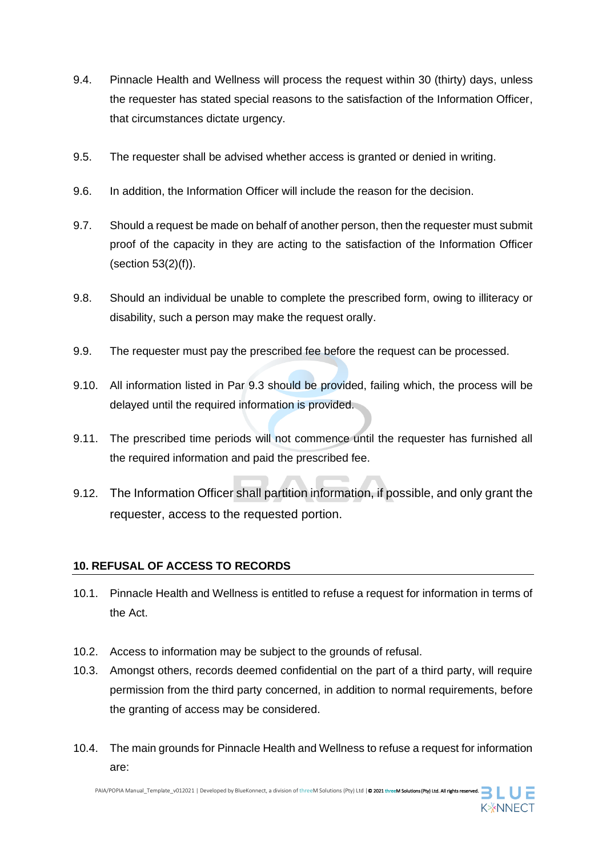- 9.4. Pinnacle Health and Wellness will process the request within 30 (thirty) days, unless the requester has stated special reasons to the satisfaction of the Information Officer, that circumstances dictate urgency.
- 9.5. The requester shall be advised whether access is granted or denied in writing.
- 9.6. In addition, the Information Officer will include the reason for the decision.
- 9.7. Should a request be made on behalf of another person, then the requester must submit proof of the capacity in they are acting to the satisfaction of the Information Officer (section 53(2)(f)).
- 9.8. Should an individual be unable to complete the prescribed form, owing to illiteracy or disability, such a person may make the request orally.
- 9.9. The requester must pay the prescribed fee before the request can be processed.
- 9.10. All information listed in Par 9.3 should be provided, failing which, the process will be delayed until the required information is provided.
- 9.11. The prescribed time periods will not commence until the requester has furnished all the required information and paid the prescribed fee.
- 9.12. The Information Officer shall partition information, if possible, and only grant the requester, access to the requested portion.

#### **10. REFUSAL OF ACCESS TO RECORDS**

- 10.1. Pinnacle Health and Wellness is entitled to refuse a request for information in terms of the Act.
- 10.2. Access to information may be subject to the grounds of refusal.
- 10.3. Amongst others, records deemed confidential on the part of a third party, will require permission from the third party concerned, in addition to normal requirements, before the granting of access may be considered.
- 10.4. The main grounds for Pinnacle Health and Wellness to refuse a request for information are:

PAIA/POPIA Manual\_Template\_v012021 | Developed by BlueKonnect, a division of threeM Solutions (Pty) Ltd | © 2021 threeM Solutions (Pty) Ltd. All rights re

**K**\*NNECT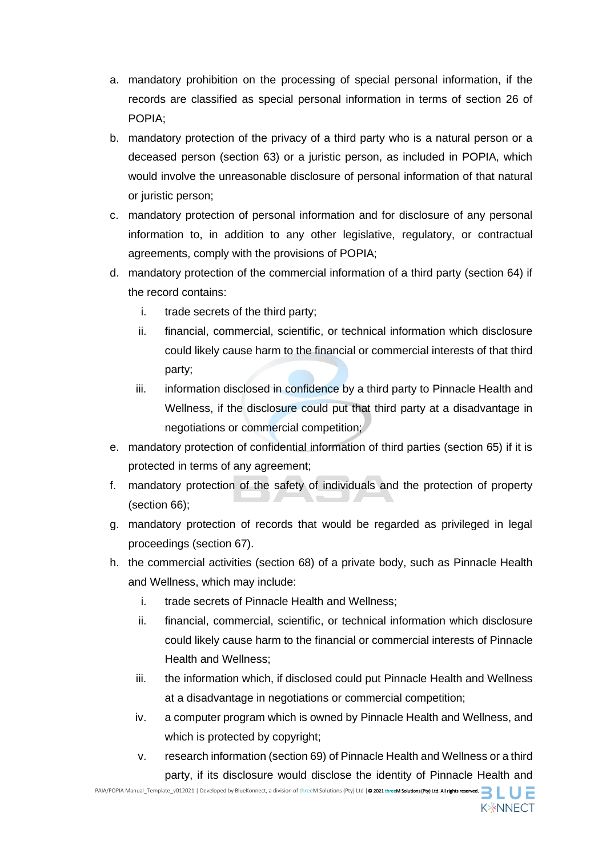- a. mandatory prohibition on the processing of special personal information, if the records are classified as special personal information in terms of section 26 of POPIA;
- b. mandatory protection of the privacy of a third party who is a natural person or a deceased person (section 63) or a juristic person, as included in POPIA, which would involve the unreasonable disclosure of personal information of that natural or juristic person;
- c. mandatory protection of personal information and for disclosure of any personal information to, in addition to any other legislative, regulatory, or contractual agreements, comply with the provisions of POPIA;
- d. mandatory protection of the commercial information of a third party (section 64) if the record contains:
	- i. trade secrets of the third party;
	- ii. financial, commercial, scientific, or technical information which disclosure could likely cause harm to the financial or commercial interests of that third party;
	- iii. information disclosed in confidence by a third party to Pinnacle Health and Wellness, if the disclosure could put that third party at a disadvantage in negotiations or commercial competition;
- e. mandatory protection of confidential information of third parties (section 65) if it is protected in terms of any agreement;
- f. mandatory protection of the safety of individuals and the protection of property (section 66);
- g. mandatory protection of records that would be regarded as privileged in legal proceedings (section 67).
- h. the commercial activities (section 68) of a private body, such as Pinnacle Health and Wellness, which may include:
	- i. trade secrets of Pinnacle Health and Wellness;
	- ii. financial, commercial, scientific, or technical information which disclosure could likely cause harm to the financial or commercial interests of Pinnacle Health and Wellness;
	- iii. the information which, if disclosed could put Pinnacle Health and Wellness at a disadvantage in negotiations or commercial competition;
	- iv. a computer program which is owned by Pinnacle Health and Wellness, and which is protected by copyright;
	- v. research information (section 69) of Pinnacle Health and Wellness or a third party, if its disclosure would disclose the identity of Pinnacle Health and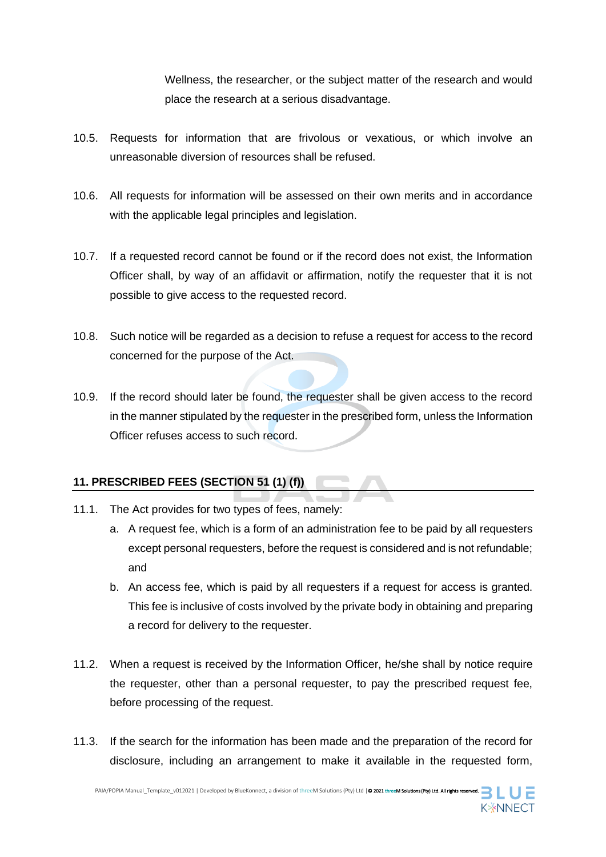Wellness, the researcher, or the subject matter of the research and would place the research at a serious disadvantage.

- 10.5. Requests for information that are frivolous or vexatious, or which involve an unreasonable diversion of resources shall be refused.
- 10.6. All requests for information will be assessed on their own merits and in accordance with the applicable legal principles and legislation.
- 10.7. If a requested record cannot be found or if the record does not exist, the Information Officer shall, by way of an affidavit or affirmation, notify the requester that it is not possible to give access to the requested record.
- 10.8. Such notice will be regarded as a decision to refuse a request for access to the record concerned for the purpose of the Act.
- 10.9. If the record should later be found, the requester shall be given access to the record in the manner stipulated by the requester in the prescribed form, unless the Information Officer refuses access to such record.

#### **11. PRESCRIBED FEES (SECTION 51 (1) (f))**

- 11.1. The Act provides for two types of fees, namely:
	- a. A request fee, which is a form of an administration fee to be paid by all requesters except personal requesters, before the request is considered and is not refundable; and
	- b. An access fee, which is paid by all requesters if a request for access is granted. This fee is inclusive of costs involved by the private body in obtaining and preparing a record for delivery to the requester.
- 11.2. When a request is received by the Information Officer, he/she shall by notice require the requester, other than a personal requester, to pay the prescribed request fee, before processing of the request.
- 11.3. If the search for the information has been made and the preparation of the record for disclosure, including an arrangement to make it available in the requested form,

PAIA/POPIA Manual\_Template\_v012021 | Developed by BlueKonnect, a division of threeM Solutions (Pty) Ltd | © 2021 threeM Solutions (Pty) Ltd. All rights reserved.  $\Box$ 

**K**\*NNECT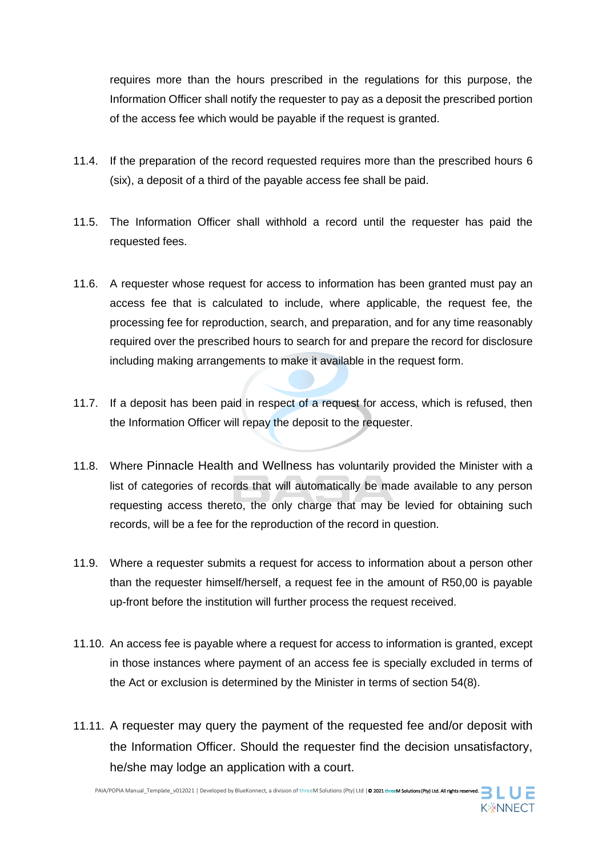requires more than the hours prescribed in the regulations for this purpose, the Information Officer shall notify the requester to pay as a deposit the prescribed portion of the access fee which would be payable if the request is granted.

- 11.4. If the preparation of the record requested requires more than the prescribed hours 6 (six), a deposit of a third of the payable access fee shall be paid.
- 11.5. The Information Officer shall withhold a record until the requester has paid the requested fees.
- 11.6. A requester whose request for access to information has been granted must pay an access fee that is calculated to include, where applicable, the request fee, the processing fee for reproduction, search, and preparation, and for any time reasonably required over the prescribed hours to search for and prepare the record for disclosure including making arrangements to make it available in the request form.
- 11.7. If a deposit has been paid in respect of a request for access, which is refused, then the Information Officer will repay the deposit to the requester.
- 11.8. Where Pinnacle Health and Wellness has voluntarily provided the Minister with a list of categories of records that will automatically be made available to any person requesting access thereto, the only charge that may be levied for obtaining such records, will be a fee for the reproduction of the record in question.
- 11.9. Where a requester submits a request for access to information about a person other than the requester himself/herself, a request fee in the amount of R50,00 is payable up-front before the institution will further process the request received.
- 11.10. An access fee is payable where a request for access to information is granted, except in those instances where payment of an access fee is specially excluded in terms of the Act or exclusion is determined by the Minister in terms of section 54(8).
- 11.11. A requester may query the payment of the requested fee and/or deposit with the Information Officer. Should the requester find the decision unsatisfactory, he/she may lodge an application with a court.

PAIA/POPIA Manual\_Template\_v012021 | Developed by BlueKonnect, a division of threeM Solutions (Pty) Ltd | © 2021 threeM Solutions (Pty) Ltd. All rights reserved. **K**\*NNECT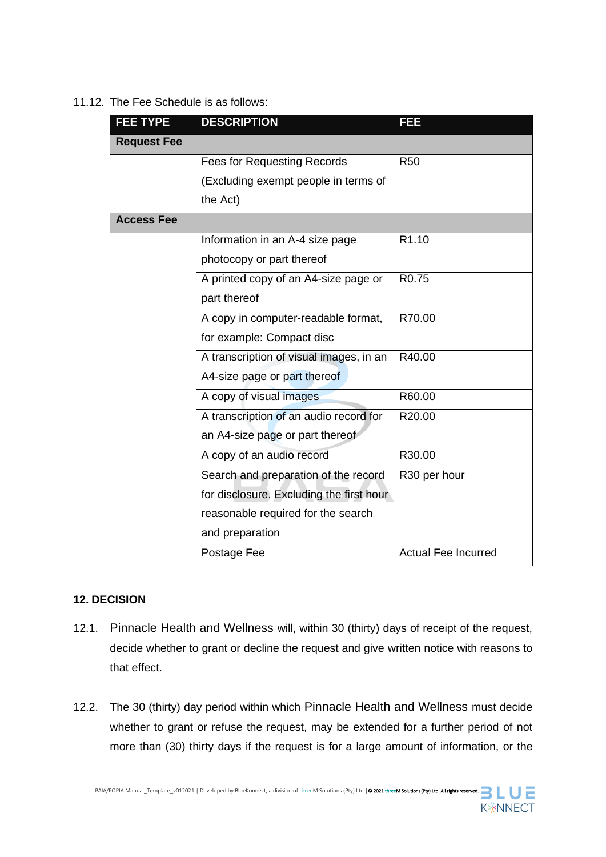#### 11.12. The Fee Schedule is as follows:

| <b>FEE TYPE</b>    | <b>DESCRIPTION</b>                       | FEE                        |
|--------------------|------------------------------------------|----------------------------|
| <b>Request Fee</b> |                                          |                            |
|                    | <b>Fees for Requesting Records</b>       | <b>R50</b>                 |
|                    | (Excluding exempt people in terms of     |                            |
|                    | the Act)                                 |                            |
| <b>Access Fee</b>  |                                          |                            |
|                    | Information in an A-4 size page          | R <sub>1.10</sub>          |
|                    | photocopy or part thereof                |                            |
|                    | A printed copy of an A4-size page or     | R <sub>0.75</sub>          |
|                    | part thereof                             |                            |
|                    | A copy in computer-readable format,      | R70.00                     |
|                    | for example: Compact disc                |                            |
|                    | A transcription of visual images, in an  | R40.00                     |
|                    | A4-size page or part thereof             |                            |
|                    | A copy of visual images                  | R60.00                     |
|                    | A transcription of an audio record for   | R20.00                     |
|                    | an A4-size page or part thereof          |                            |
|                    | A copy of an audio record                | R30.00                     |
|                    | Search and preparation of the record     | R30 per hour               |
|                    | for disclosure. Excluding the first hour |                            |
|                    | reasonable required for the search       |                            |
|                    | and preparation                          |                            |
|                    | Postage Fee                              | <b>Actual Fee Incurred</b> |

#### **12. DECISION**

- 12.1. Pinnacle Health and Wellness will, within 30 (thirty) days of receipt of the request, decide whether to grant or decline the request and give written notice with reasons to that effect.
- 12.2. The 30 (thirty) day period within which Pinnacle Health and Wellness must decide whether to grant or refuse the request, may be extended for a further period of not more than (30) thirty days if the request is for a large amount of information, or the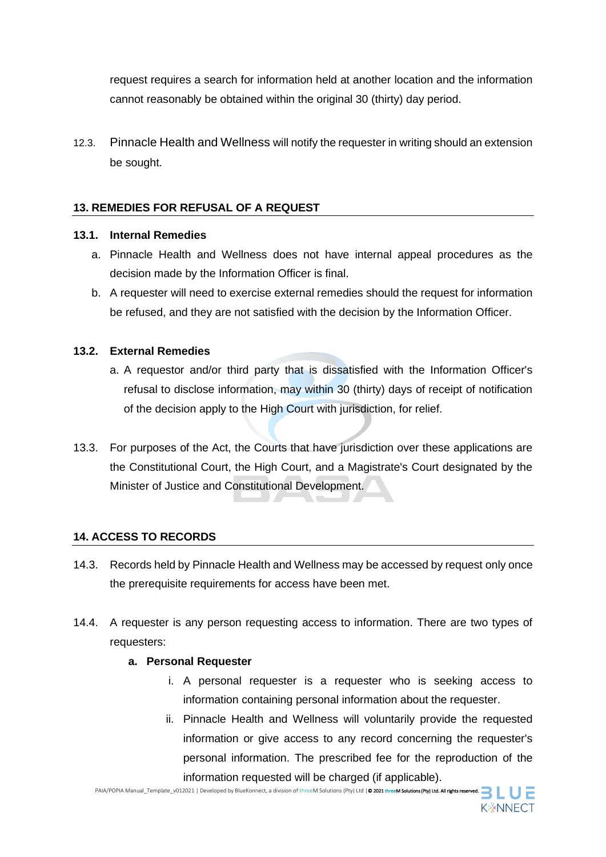request requires a search for information held at another location and the information cannot reasonably be obtained within the original 30 (thirty) day period.

12.3. Pinnacle Health and Wellness will notify the requester in writing should an extension be sought.

#### **13. REMEDIES FOR REFUSAL OF A REQUEST**

#### **13.1. Internal Remedies**

- a. Pinnacle Health and Wellness does not have internal appeal procedures as the decision made by the Information Officer is final.
- b. A requester will need to exercise external remedies should the request for information be refused, and they are not satisfied with the decision by the Information Officer.

#### **13.2. External Remedies**

- a. A requestor and/or third party that is dissatisfied with the Information Officer's refusal to disclose information, may within 30 (thirty) days of receipt of notification of the decision apply to the High Court with jurisdiction, for relief.
- 13.3. For purposes of the Act, the Courts that have jurisdiction over these applications are the Constitutional Court, the High Court, and a Magistrate's Court designated by the Minister of Justice and Constitutional Development.

#### **14. ACCESS TO RECORDS**

- 14.3. Records held by Pinnacle Health and Wellness may be accessed by request only once the prerequisite requirements for access have been met.
- 14.4. A requester is any person requesting access to information. There are two types of requesters:

#### **a. Personal Requester**

- i. A personal requester is a requester who is seeking access to information containing personal information about the requester.
- ii. Pinnacle Health and Wellness will voluntarily provide the requested information or give access to any record concerning the requester's personal information. The prescribed fee for the reproduction of the information requested will be charged (if applicable).

PAIA/POPIA Manual\_Template\_v012021 | Developed by BlueKonnect, a division of threeM Solutions (Pty) Ltd | © 2021 threeM Solutions (Pty) Ltd. All rights reserved. **K**\*NNECT